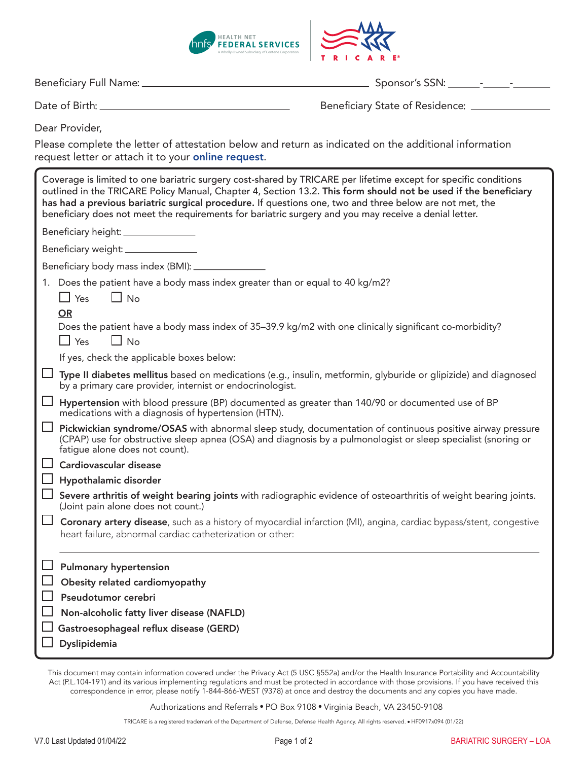



Beneficiary Full Name Sponsor's SSN

Date of Birth: <u>Charles Community Community Contract Beneficiary State of Residence:</u>

Dear Provider,

Please complete the letter of attestation below and return as indicated on the additional information request letter or attach it to your [online request](https://www.tricare-west.com/content/hnfs/home/tw/prov/auth/TRICAREServiceRequestForm.html).

| Coverage is limited to one bariatric surgery cost-shared by TRICARE per lifetime except for specific conditions<br>outlined in the TRICARE Policy Manual, Chapter 4, Section 13.2. This form should not be used if the beneficiary<br>has had a previous bariatric surgical procedure. If questions one, two and three below are not met, the<br>beneficiary does not meet the requirements for bariatric surgery and you may receive a denial letter. |                                                                                                                                                                                                                                                              |  |  |  |  |
|--------------------------------------------------------------------------------------------------------------------------------------------------------------------------------------------------------------------------------------------------------------------------------------------------------------------------------------------------------------------------------------------------------------------------------------------------------|--------------------------------------------------------------------------------------------------------------------------------------------------------------------------------------------------------------------------------------------------------------|--|--|--|--|
|                                                                                                                                                                                                                                                                                                                                                                                                                                                        | Beneficiary height: ________________                                                                                                                                                                                                                         |  |  |  |  |
| Beneficiary weight: _______________                                                                                                                                                                                                                                                                                                                                                                                                                    |                                                                                                                                                                                                                                                              |  |  |  |  |
| Beneficiary body mass index (BMI): _                                                                                                                                                                                                                                                                                                                                                                                                                   |                                                                                                                                                                                                                                                              |  |  |  |  |
|                                                                                                                                                                                                                                                                                                                                                                                                                                                        | 1. Does the patient have a body mass index greater than or equal to 40 kg/m2?                                                                                                                                                                                |  |  |  |  |
|                                                                                                                                                                                                                                                                                                                                                                                                                                                        | $\Box$ No<br>$\Box$ Yes                                                                                                                                                                                                                                      |  |  |  |  |
|                                                                                                                                                                                                                                                                                                                                                                                                                                                        | <b>OR</b>                                                                                                                                                                                                                                                    |  |  |  |  |
|                                                                                                                                                                                                                                                                                                                                                                                                                                                        | Does the patient have a body mass index of 35-39.9 kg/m2 with one clinically significant co-morbidity?<br>$\Box$ Yes<br>$\Box$ No                                                                                                                            |  |  |  |  |
|                                                                                                                                                                                                                                                                                                                                                                                                                                                        | If yes, check the applicable boxes below:                                                                                                                                                                                                                    |  |  |  |  |
|                                                                                                                                                                                                                                                                                                                                                                                                                                                        | $\Box$ Type II diabetes mellitus based on medications (e.g., insulin, metformin, glyburide or glipizide) and diagnosed<br>by a primary care provider, internist or endocrinologist.                                                                          |  |  |  |  |
|                                                                                                                                                                                                                                                                                                                                                                                                                                                        | Hypertension with blood pressure (BP) documented as greater than 140/90 or documented use of BP<br>medications with a diagnosis of hypertension (HTN).                                                                                                       |  |  |  |  |
|                                                                                                                                                                                                                                                                                                                                                                                                                                                        | Pickwickian syndrome/OSAS with abnormal sleep study, documentation of continuous positive airway pressure<br>(CPAP) use for obstructive sleep apnea (OSA) and diagnosis by a pulmonologist or sleep specialist (snoring or<br>fatigue alone does not count). |  |  |  |  |
|                                                                                                                                                                                                                                                                                                                                                                                                                                                        | Cardiovascular disease                                                                                                                                                                                                                                       |  |  |  |  |
|                                                                                                                                                                                                                                                                                                                                                                                                                                                        | Hypothalamic disorder                                                                                                                                                                                                                                        |  |  |  |  |
|                                                                                                                                                                                                                                                                                                                                                                                                                                                        | Severe arthritis of weight bearing joints with radiographic evidence of osteoarthritis of weight bearing joints.<br>(Joint pain alone does not count.)                                                                                                       |  |  |  |  |
|                                                                                                                                                                                                                                                                                                                                                                                                                                                        | Coronary artery disease, such as a history of myocardial infarction (MI), angina, cardiac bypass/stent, congestive<br>heart failure, abnormal cardiac catheterization or other:                                                                              |  |  |  |  |
|                                                                                                                                                                                                                                                                                                                                                                                                                                                        | <b>Pulmonary hypertension</b>                                                                                                                                                                                                                                |  |  |  |  |
|                                                                                                                                                                                                                                                                                                                                                                                                                                                        | Obesity related cardiomyopathy                                                                                                                                                                                                                               |  |  |  |  |
|                                                                                                                                                                                                                                                                                                                                                                                                                                                        | Pseudotumor cerebri                                                                                                                                                                                                                                          |  |  |  |  |
|                                                                                                                                                                                                                                                                                                                                                                                                                                                        | Non-alcoholic fatty liver disease (NAFLD)                                                                                                                                                                                                                    |  |  |  |  |
|                                                                                                                                                                                                                                                                                                                                                                                                                                                        | Gastroesophageal reflux disease (GERD)                                                                                                                                                                                                                       |  |  |  |  |
|                                                                                                                                                                                                                                                                                                                                                                                                                                                        | Dyslipidemia                                                                                                                                                                                                                                                 |  |  |  |  |

This document may contain information covered under the Privacy Act (5 USC §552a) and/or the Health Insurance Portability and Accountability Act (P.L.104-191) and its various implementing regulations and must be protected in accordance with those provisions. If you have received this correspondence in error, please notify 1-844-866-WEST (9378) at once and destroy the documents and any copies you have made.

Authorizations and Referrals . PO Box 9108 . Virginia Beach, VA 23450-9108

TRICARE is a registered trademark of the Department of Defense, Defense Health Agency. All rights reserved. • HF0917x094 (01/22)